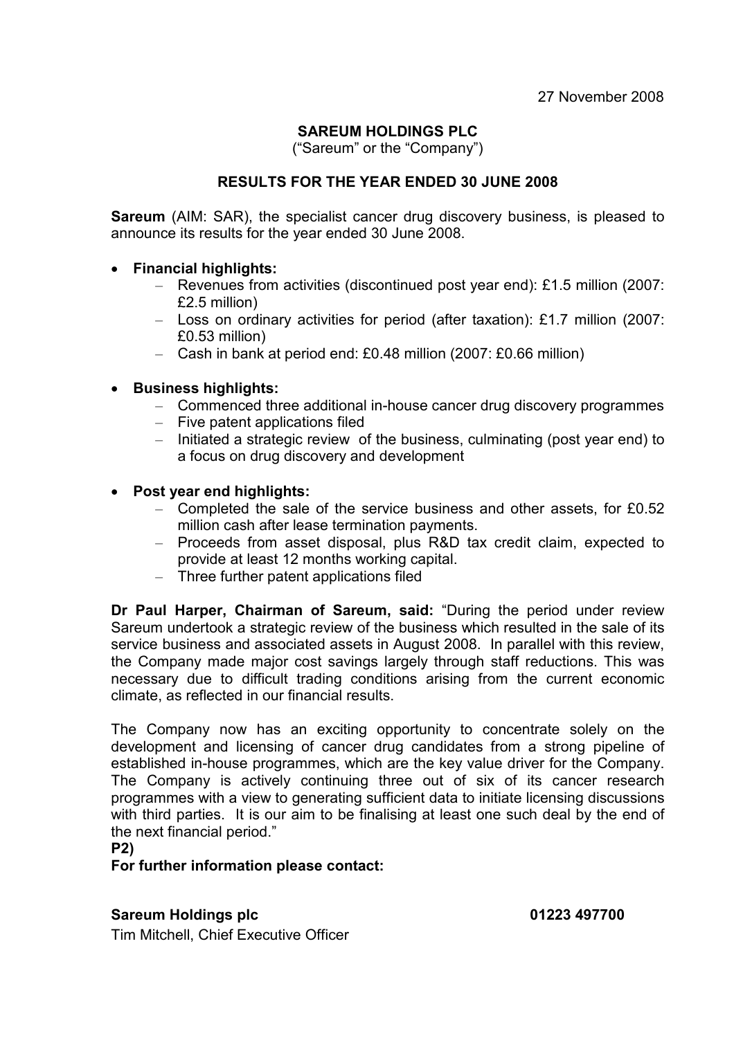# SAREUM HOLDINGS PLC

("Sareum" or the "Company")

# RESULTS FOR THE YEAR ENDED 30 JUNE 2008

**Sareum** (AIM: SAR), the specialist cancer drug discovery business, is pleased to announce its results for the year ended 30 June 2008.

#### • Financial highlights:

- Revenues from activities (discontinued post year end): £1.5 million (2007: £2.5 million)
- Loss on ordinary activities for period (after taxation): £1.7 million (2007: £0.53 million)
- Cash in bank at period end: £0.48 million (2007: £0.66 million)

# • Business highlights:

- Commenced three additional in-house cancer drug discovery programmes
- Five patent applications filed
- Initiated a strategic review of the business, culminating (post year end) to a focus on drug discovery and development

#### • Post year end highlights:

- Completed the sale of the service business and other assets, for £0.52 million cash after lease termination payments.
- Proceeds from asset disposal, plus R&D tax credit claim, expected to provide at least 12 months working capital.
- Three further patent applications filed

Dr Paul Harper, Chairman of Sareum, said: "During the period under review Sareum undertook a strategic review of the business which resulted in the sale of its service business and associated assets in August 2008. In parallel with this review, the Company made major cost savings largely through staff reductions. This was necessary due to difficult trading conditions arising from the current economic climate, as reflected in our financial results.

The Company now has an exciting opportunity to concentrate solely on the development and licensing of cancer drug candidates from a strong pipeline of established in-house programmes, which are the key value driver for the Company. The Company is actively continuing three out of six of its cancer research programmes with a view to generating sufficient data to initiate licensing discussions with third parties. It is our aim to be finalising at least one such deal by the end of the next financial period."

P2)

For further information please contact:

#### Sareum Holdings plc **Calculation** Calculation Control Captus 01223 497700

Tim Mitchell, Chief Executive Officer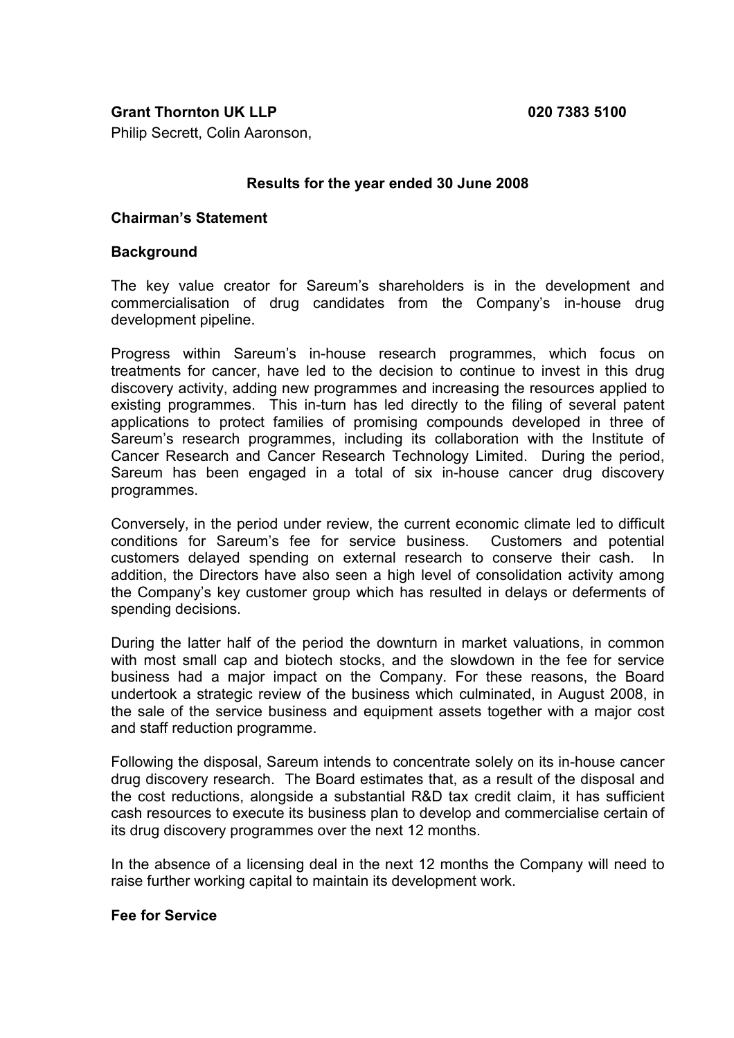# Grant Thornton UK LLP 020 7383 5100

Philip Secrett, Colin Aaronson,

#### Results for the year ended 30 June 2008

#### Chairman's Statement

#### **Background**

The key value creator for Sareum's shareholders is in the development and commercialisation of drug candidates from the Company's in-house drug development pipeline.

Progress within Sareum's in-house research programmes, which focus on treatments for cancer, have led to the decision to continue to invest in this drug discovery activity, adding new programmes and increasing the resources applied to existing programmes. This in-turn has led directly to the filing of several patent applications to protect families of promising compounds developed in three of Sareum's research programmes, including its collaboration with the Institute of Cancer Research and Cancer Research Technology Limited. During the period, Sareum has been engaged in a total of six in-house cancer drug discovery programmes.

Conversely, in the period under review, the current economic climate led to difficult conditions for Sareum's fee for service business. Customers and potential customers delayed spending on external research to conserve their cash. In addition, the Directors have also seen a high level of consolidation activity among the Company's key customer group which has resulted in delays or deferments of spending decisions.

During the latter half of the period the downturn in market valuations, in common with most small cap and biotech stocks, and the slowdown in the fee for service business had a major impact on the Company. For these reasons, the Board undertook a strategic review of the business which culminated, in August 2008, in the sale of the service business and equipment assets together with a major cost and staff reduction programme.

Following the disposal, Sareum intends to concentrate solely on its in-house cancer drug discovery research. The Board estimates that, as a result of the disposal and the cost reductions, alongside a substantial R&D tax credit claim, it has sufficient cash resources to execute its business plan to develop and commercialise certain of its drug discovery programmes over the next 12 months.

In the absence of a licensing deal in the next 12 months the Company will need to raise further working capital to maintain its development work.

#### Fee for Service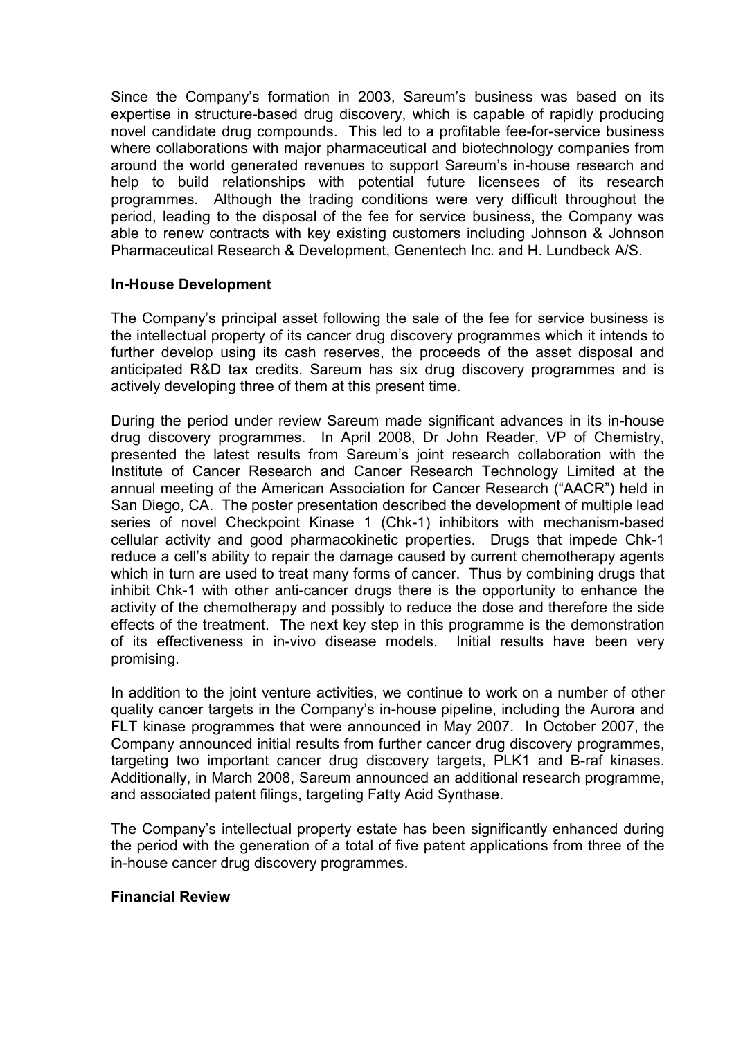Since the Company's formation in 2003, Sareum's business was based on its expertise in structure-based drug discovery, which is capable of rapidly producing novel candidate drug compounds. This led to a profitable fee-for-service business where collaborations with major pharmaceutical and biotechnology companies from around the world generated revenues to support Sareum's in-house research and help to build relationships with potential future licensees of its research programmes. Although the trading conditions were very difficult throughout the period, leading to the disposal of the fee for service business, the Company was able to renew contracts with key existing customers including Johnson & Johnson Pharmaceutical Research & Development, Genentech Inc. and H. Lundbeck A/S.

#### In-House Development

The Company's principal asset following the sale of the fee for service business is the intellectual property of its cancer drug discovery programmes which it intends to further develop using its cash reserves, the proceeds of the asset disposal and anticipated R&D tax credits. Sareum has six drug discovery programmes and is actively developing three of them at this present time.

During the period under review Sareum made significant advances in its in-house drug discovery programmes. In April 2008, Dr John Reader, VP of Chemistry, presented the latest results from Sareum's joint research collaboration with the Institute of Cancer Research and Cancer Research Technology Limited at the annual meeting of the American Association for Cancer Research ("AACR") held in San Diego, CA. The poster presentation described the development of multiple lead series of novel Checkpoint Kinase 1 (Chk-1) inhibitors with mechanism-based cellular activity and good pharmacokinetic properties. Drugs that impede Chk-1 reduce a cell's ability to repair the damage caused by current chemotherapy agents which in turn are used to treat many forms of cancer. Thus by combining drugs that inhibit Chk-1 with other anti-cancer drugs there is the opportunity to enhance the activity of the chemotherapy and possibly to reduce the dose and therefore the side effects of the treatment. The next key step in this programme is the demonstration of its effectiveness in in-vivo disease models. Initial results have been very promising.

In addition to the joint venture activities, we continue to work on a number of other quality cancer targets in the Company's in-house pipeline, including the Aurora and FLT kinase programmes that were announced in May 2007. In October 2007, the Company announced initial results from further cancer drug discovery programmes, targeting two important cancer drug discovery targets, PLK1 and B-raf kinases. Additionally, in March 2008, Sareum announced an additional research programme, and associated patent filings, targeting Fatty Acid Synthase.

The Company's intellectual property estate has been significantly enhanced during the period with the generation of a total of five patent applications from three of the in-house cancer drug discovery programmes.

#### Financial Review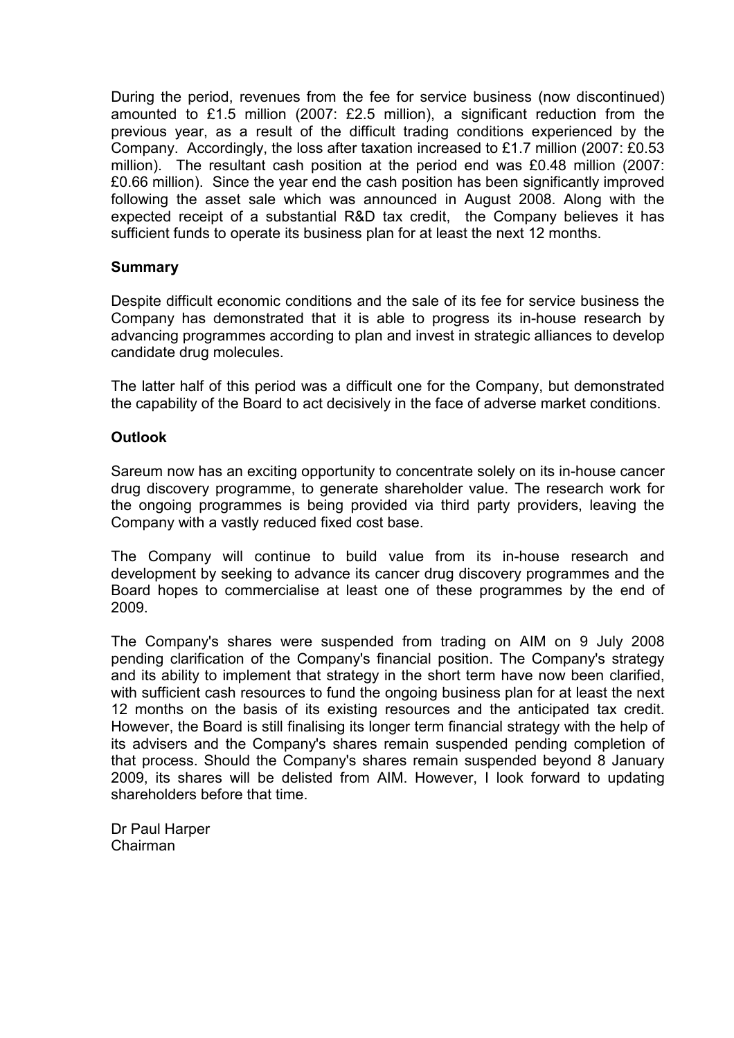During the period, revenues from the fee for service business (now discontinued) amounted to £1.5 million (2007: £2.5 million), a significant reduction from the previous year, as a result of the difficult trading conditions experienced by the Company. Accordingly, the loss after taxation increased to £1.7 million (2007: £0.53 million). The resultant cash position at the period end was £0.48 million (2007: £0.66 million). Since the year end the cash position has been significantly improved following the asset sale which was announced in August 2008. Along with the expected receipt of a substantial R&D tax credit, the Company believes it has sufficient funds to operate its business plan for at least the next 12 months.

#### **Summary**

Despite difficult economic conditions and the sale of its fee for service business the Company has demonstrated that it is able to progress its in-house research by advancing programmes according to plan and invest in strategic alliances to develop candidate drug molecules.

The latter half of this period was a difficult one for the Company, but demonstrated the capability of the Board to act decisively in the face of adverse market conditions.

#### **Outlook**

Sareum now has an exciting opportunity to concentrate solely on its in-house cancer drug discovery programme, to generate shareholder value. The research work for the ongoing programmes is being provided via third party providers, leaving the Company with a vastly reduced fixed cost base.

The Company will continue to build value from its in-house research and development by seeking to advance its cancer drug discovery programmes and the Board hopes to commercialise at least one of these programmes by the end of 2009.

The Company's shares were suspended from trading on AIM on 9 July 2008 pending clarification of the Company's financial position. The Company's strategy and its ability to implement that strategy in the short term have now been clarified, with sufficient cash resources to fund the ongoing business plan for at least the next 12 months on the basis of its existing resources and the anticipated tax credit. However, the Board is still finalising its longer term financial strategy with the help of its advisers and the Company's shares remain suspended pending completion of that process. Should the Company's shares remain suspended beyond 8 January 2009, its shares will be delisted from AIM. However, I look forward to updating shareholders before that time.

Dr Paul Harper Chairman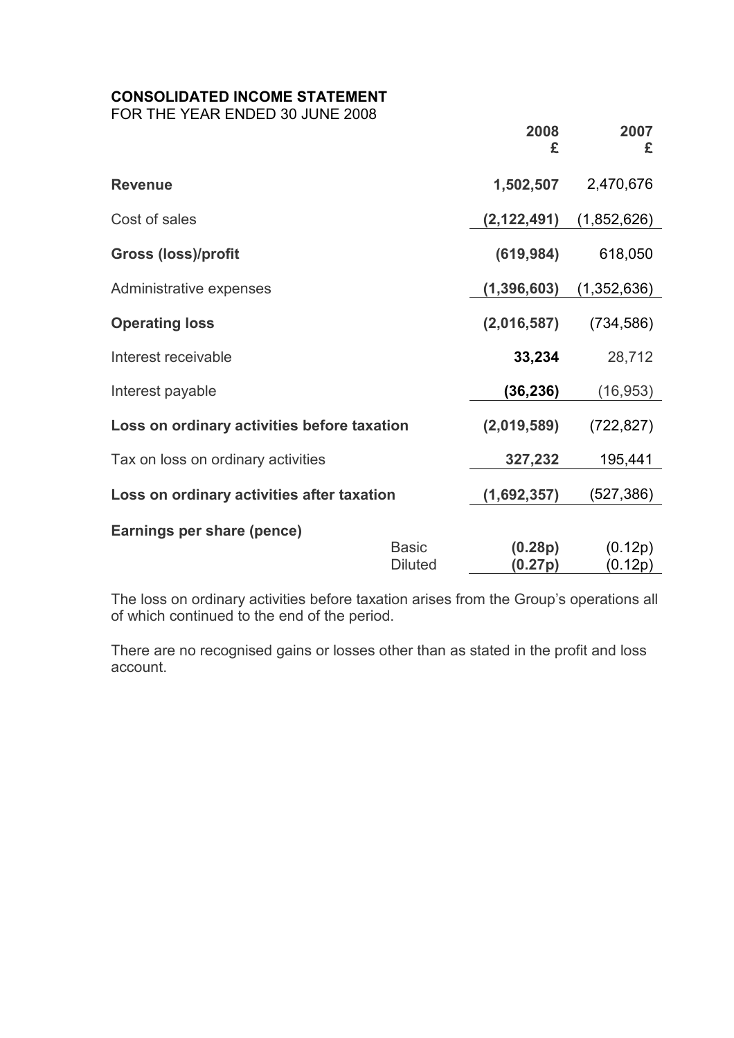# CONSOLIDATED INCOME STATEMENT

FOR THE YEAR ENDED 30 JUNE 2008

|                                             |                                | 2008<br>£          | 2007<br>£          |
|---------------------------------------------|--------------------------------|--------------------|--------------------|
| <b>Revenue</b>                              |                                | 1,502,507          | 2,470,676          |
| Cost of sales                               |                                | (2, 122, 491)      | (1,852,626)        |
| <b>Gross (loss)/profit</b>                  |                                | (619, 984)         | 618,050            |
| Administrative expenses                     |                                | (1, 396, 603)      | (1,352,636)        |
| <b>Operating loss</b>                       |                                | (2,016,587)        | (734, 586)         |
| Interest receivable                         |                                | 33,234             | 28,712             |
| Interest payable                            |                                | (36, 236)          | (16, 953)          |
| Loss on ordinary activities before taxation |                                | (2,019,589)        | (722, 827)         |
| Tax on loss on ordinary activities          |                                | 327,232            | 195,441            |
| Loss on ordinary activities after taxation  |                                | (1,692,357)        | (527, 386)         |
| Earnings per share (pence)                  |                                |                    |                    |
|                                             | <b>Basic</b><br><b>Diluted</b> | (0.28p)<br>(0.27p) | (0.12p)<br>(0.12p) |

The loss on ordinary activities before taxation arises from the Group's operations all of which continued to the end of the period.

There are no recognised gains or losses other than as stated in the profit and loss account.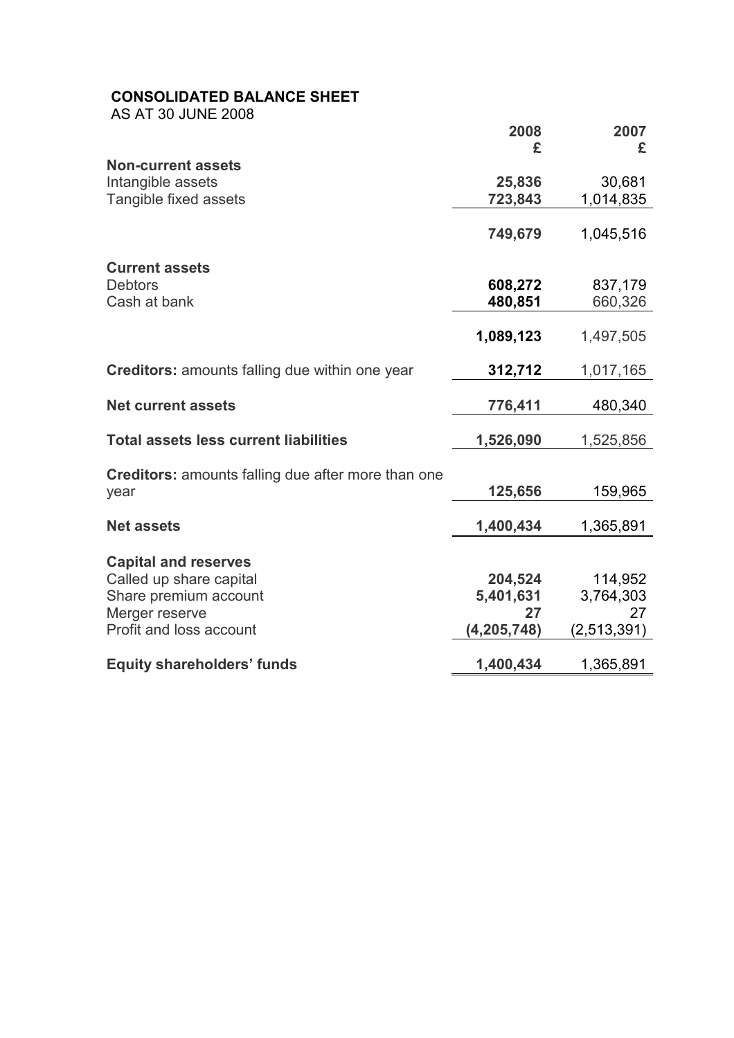# CONSOLIDATED BALANCE SHEET

AS AT 30 JUNE 2008

|                                                           | 2008          | 2007        |
|-----------------------------------------------------------|---------------|-------------|
|                                                           | £             | £           |
| <b>Non-current assets</b>                                 |               |             |
| Intangible assets                                         | 25,836        | 30,681      |
| Tangible fixed assets                                     | 723,843       | 1,014,835   |
|                                                           | 749,679       | 1,045,516   |
|                                                           |               |             |
| <b>Current assets</b>                                     |               |             |
| <b>Debtors</b>                                            | 608,272       | 837,179     |
| Cash at bank                                              | 480,851       | 660,326     |
|                                                           |               |             |
|                                                           | 1,089,123     | 1,497,505   |
|                                                           |               |             |
| <b>Creditors:</b> amounts falling due within one year     | 312,712       | 1,017,165   |
|                                                           |               |             |
| <b>Net current assets</b>                                 | 776,411       | 480,340     |
|                                                           |               |             |
| <b>Total assets less current liabilities</b>              | 1,526,090     | 1,525,856   |
|                                                           |               |             |
| <b>Creditors:</b> amounts falling due after more than one |               |             |
| year                                                      | 125,656       | 159,965     |
| <b>Net assets</b>                                         | 1,400,434     | 1,365,891   |
|                                                           |               |             |
| <b>Capital and reserves</b>                               |               |             |
| Called up share capital                                   | 204,524       | 114,952     |
| Share premium account                                     | 5,401,631     | 3,764,303   |
| Merger reserve                                            | 27            | 27          |
| Profit and loss account                                   | (4, 205, 748) | (2,513,391) |
|                                                           |               |             |
| <b>Equity shareholders' funds</b>                         | 1,400,434     | 1,365,891   |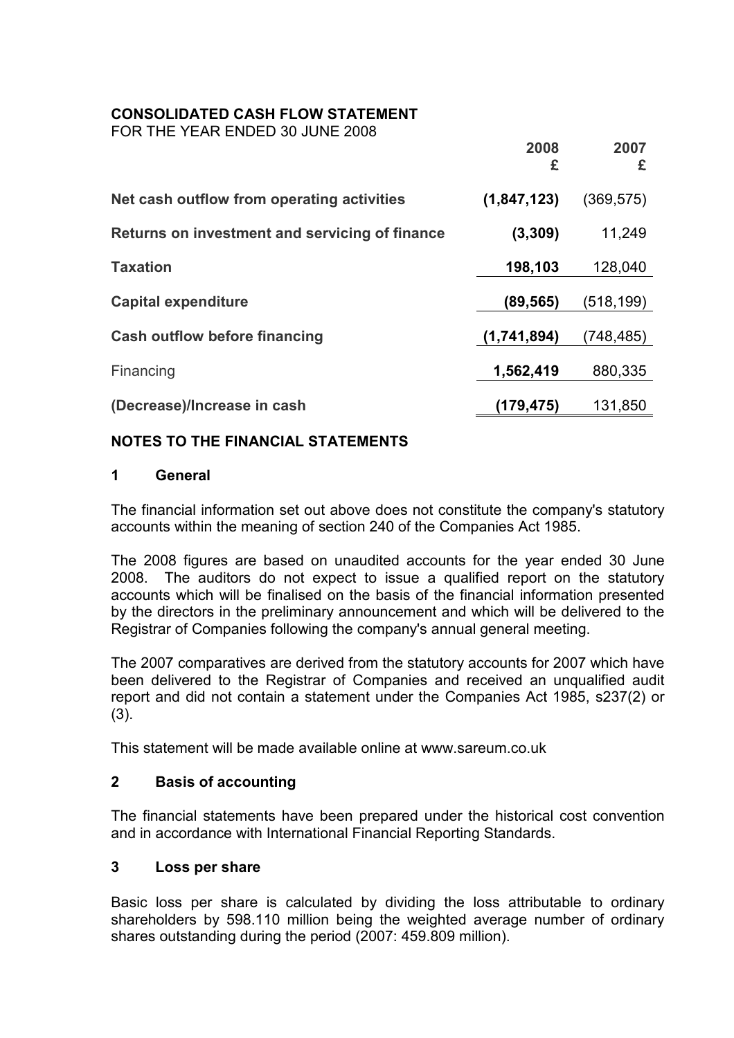# CONSOLIDATED CASH FLOW STATEMENT

FOR THE YEAR ENDED 30 JUNE 2008

|                                                | 2008<br>£     | 2007<br>£ |
|------------------------------------------------|---------------|-----------|
| Net cash outflow from operating activities     | (1, 847, 123) | (369,575) |
| Returns on investment and servicing of finance | (3, 309)      | 11,249    |
| <b>Taxation</b>                                | 198,103       | 128,040   |
| <b>Capital expenditure</b>                     | (89,565)      | (518,199) |
| <b>Cash outflow before financing</b>           | (1,741,894)   | (748,485) |
| Financing                                      | 1,562,419     | 880,335   |
| (Decrease)/Increase in cash                    | (179,475)     | 131,850   |

# NOTES TO THE FINANCIAL STATEMENTS

# 1 General

The financial information set out above does not constitute the company's statutory accounts within the meaning of section 240 of the Companies Act 1985.

The 2008 figures are based on unaudited accounts for the year ended 30 June 2008. The auditors do not expect to issue a qualified report on the statutory accounts which will be finalised on the basis of the financial information presented by the directors in the preliminary announcement and which will be delivered to the Registrar of Companies following the company's annual general meeting.

The 2007 comparatives are derived from the statutory accounts for 2007 which have been delivered to the Registrar of Companies and received an unqualified audit report and did not contain a statement under the Companies Act 1985, s237(2) or (3).

This statement will be made available online at www.sareum.co.uk

#### 2 Basis of accounting

The financial statements have been prepared under the historical cost convention and in accordance with International Financial Reporting Standards.

#### 3 Loss per share

Basic loss per share is calculated by dividing the loss attributable to ordinary shareholders by 598.110 million being the weighted average number of ordinary shares outstanding during the period (2007: 459.809 million).